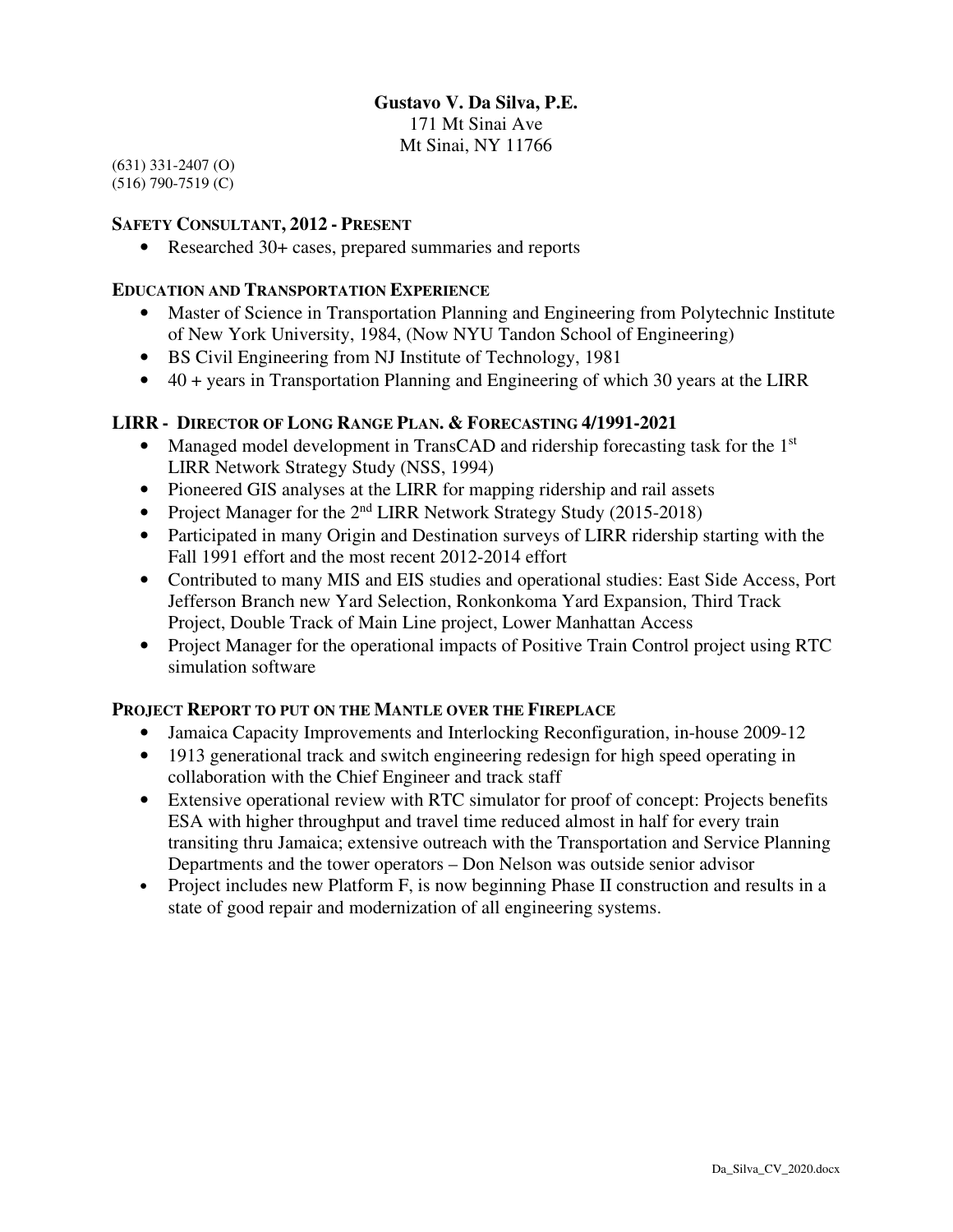### **Gustavo V. Da Silva, P.E.**

171 Mt Sinai Ave Mt Sinai, NY 11766

(631) 331-2407 (O) (516) 790-7519 (C)

#### **SAFETY CONSULTANT, 2012 - PRESENT**

• Researched 30+ cases, prepared summaries and reports

#### **EDUCATION AND TRANSPORTATION EXPERIENCE**

- Master of Science in Transportation Planning and Engineering from Polytechnic Institute of New York University, 1984, (Now NYU Tandon School of Engineering)
- BS Civil Engineering from NJ Institute of Technology, 1981
- 40 + years in Transportation Planning and Engineering of which 30 years at the LIRR

### **LIRR - DIRECTOR OF LONG RANGE PLAN. & FORECASTING 4/1991-2021**

- Managed model development in TransCAD and ridership forecasting task for the 1<sup>st</sup> LIRR Network Strategy Study (NSS, 1994)
- Pioneered GIS analyses at the LIRR for mapping ridership and rail assets
- Project Manager for the  $2<sup>nd</sup> LIRR Network Strategy Study (2015-2018)$
- Participated in many Origin and Destination surveys of LIRR ridership starting with the Fall 1991 effort and the most recent 2012-2014 effort
- Contributed to many MIS and EIS studies and operational studies: East Side Access, Port Jefferson Branch new Yard Selection, Ronkonkoma Yard Expansion, Third Track Project, Double Track of Main Line project, Lower Manhattan Access
- Project Manager for the operational impacts of Positive Train Control project using RTC simulation software

#### **PROJECT REPORT TO PUT ON THE MANTLE OVER THE FIREPLACE**

- Jamaica Capacity Improvements and Interlocking Reconfiguration, in-house 2009-12
- 1913 generational track and switch engineering redesign for high speed operating in collaboration with the Chief Engineer and track staff
- Extensive operational review with RTC simulator for proof of concept: Projects benefits ESA with higher throughput and travel time reduced almost in half for every train transiting thru Jamaica; extensive outreach with the Transportation and Service Planning Departments and the tower operators – Don Nelson was outside senior advisor
- Project includes new Platform F, is now beginning Phase II construction and results in a state of good repair and modernization of all engineering systems.